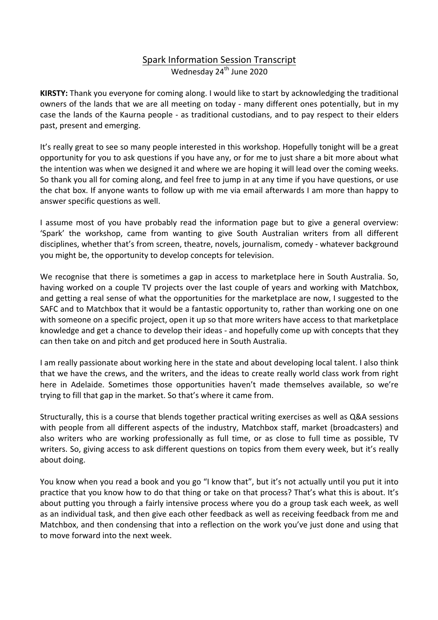# Spark Information Session Transcript Wednesday 24<sup>th</sup> June 2020

**KIRSTY:** Thank you everyone for coming along. I would like to start by acknowledging the traditional owners of the lands that we are all meeting on today - many different ones potentially, but in my case the lands of the Kaurna people - as traditional custodians, and to pay respect to their elders past, present and emerging.

It's really great to see so many people interested in this workshop. Hopefully tonight will be a great opportunity for you to ask questions if you have any, or for me to just share a bit more about what the intention was when we designed it and where we are hoping it will lead over the coming weeks. So thank you all for coming along, and feel free to jump in at any time if you have questions, or use the chat box. If anyone wants to follow up with me via email afterwards I am more than happy to answer specific questions as well.

I assume most of you have probably read the information page but to give a general overview: 'Spark' the workshop, came from wanting to give South Australian writers from all different disciplines, whether that's from screen, theatre, novels, journalism, comedy - whatever background you might be, the opportunity to develop concepts for television.

We recognise that there is sometimes a gap in access to marketplace here in South Australia. So, having worked on a couple TV projects over the last couple of years and working with Matchbox, and getting a real sense of what the opportunities for the marketplace are now, I suggested to the SAFC and to Matchbox that it would be a fantastic opportunity to, rather than working one on one with someone on a specific project, open it up so that more writers have access to that marketplace knowledge and get a chance to develop their ideas - and hopefully come up with concepts that they can then take on and pitch and get produced here in South Australia.

I am really passionate about working here in the state and about developing local talent. I also think that we have the crews, and the writers, and the ideas to create really world class work from right here in Adelaide. Sometimes those opportunities haven't made themselves available, so we're trying to fill that gap in the market. So that's where it came from.

Structurally, this is a course that blends together practical writing exercises as well as Q&A sessions with people from all different aspects of the industry, Matchbox staff, market (broadcasters) and also writers who are working professionally as full time, or as close to full time as possible, TV writers. So, giving access to ask different questions on topics from them every week, but it's really about doing.

You know when you read a book and you go "I know that", but it's not actually until you put it into practice that you know how to do that thing or take on that process? That's what this is about. It's about putting you through a fairly intensive process where you do a group task each week, as well as an individual task, and then give each other feedback as well as receiving feedback from me and Matchbox, and then condensing that into a reflection on the work you've just done and using that to move forward into the next week.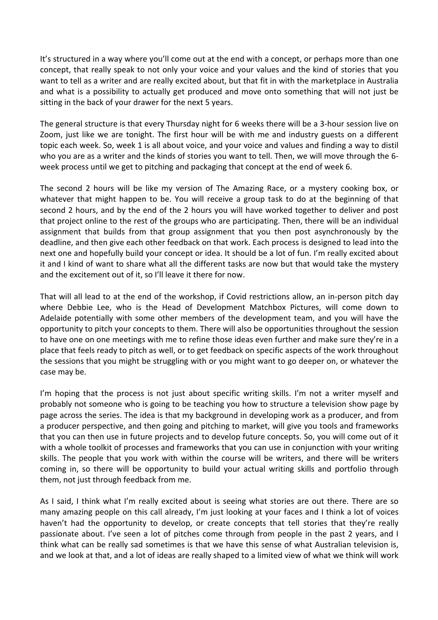It's structured in a way where you'll come out at the end with a concept, or perhaps more than one concept, that really speak to not only your voice and your values and the kind of stories that you want to tell as a writer and are really excited about, but that fit in with the marketplace in Australia and what is a possibility to actually get produced and move onto something that will not just be sitting in the back of your drawer for the next 5 years.

The general structure is that every Thursday night for 6 weeks there will be a 3-hour session live on Zoom, just like we are tonight. The first hour will be with me and industry guests on a different topic each week. So, week 1 is all about voice, and your voice and values and finding a way to distil who you are as a writer and the kinds of stories you want to tell. Then, we will move through the 6week process until we get to pitching and packaging that concept at the end of week 6.

The second 2 hours will be like my version of The Amazing Race, or a mystery cooking box, or whatever that might happen to be. You will receive a group task to do at the beginning of that second 2 hours, and by the end of the 2 hours you will have worked together to deliver and post that project online to the rest of the groups who are participating. Then, there will be an individual assignment that builds from that group assignment that you then post asynchronously by the deadline, and then give each other feedback on that work. Each process is designed to lead into the next one and hopefully build your concept or idea. It should be a lot of fun. I'm really excited about it and I kind of want to share what all the different tasks are now but that would take the mystery and the excitement out of it, so I'll leave it there for now.

That will all lead to at the end of the workshop, if Covid restrictions allow, an in-person pitch day where Debbie Lee, who is the Head of Development Matchbox Pictures, will come down to Adelaide potentially with some other members of the development team, and you will have the opportunity to pitch your concepts to them. There will also be opportunities throughout the session to have one on one meetings with me to refine those ideas even further and make sure they're in a place that feels ready to pitch as well, or to get feedback on specific aspects of the work throughout the sessions that you might be struggling with or you might want to go deeper on, or whatever the case may be.

I'm hoping that the process is not just about specific writing skills. I'm not a writer myself and probably not someone who is going to be teaching you how to structure a television show page by page across the series. The idea is that my background in developing work as a producer, and from a producer perspective, and then going and pitching to market, will give you tools and frameworks that you can then use in future projects and to develop future concepts. So, you will come out of it with a whole toolkit of processes and frameworks that you can use in conjunction with your writing skills. The people that you work with within the course will be writers, and there will be writers coming in, so there will be opportunity to build your actual writing skills and portfolio through them, not just through feedback from me.

As I said, I think what I'm really excited about is seeing what stories are out there. There are so many amazing people on this call already, I'm just looking at your faces and I think a lot of voices haven't had the opportunity to develop, or create concepts that tell stories that they're really passionate about. I've seen a lot of pitches come through from people in the past 2 years, and I think what can be really sad sometimes is that we have this sense of what Australian television is, and we look at that, and a lot of ideas are really shaped to a limited view of what we think will work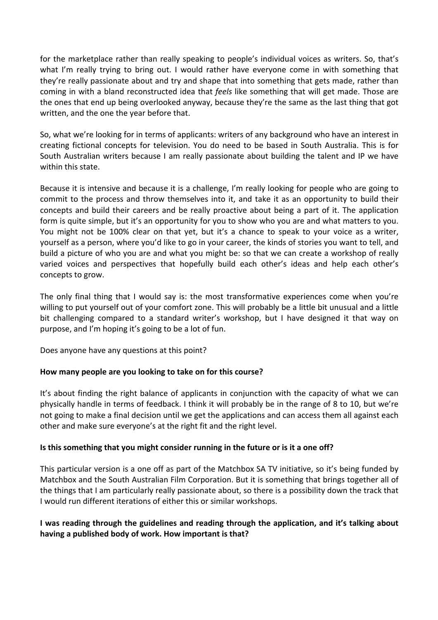for the marketplace rather than really speaking to people's individual voices as writers. So, that's what I'm really trying to bring out. I would rather have everyone come in with something that they're really passionate about and try and shape that into something that gets made, rather than coming in with a bland reconstructed idea that *feels* like something that will get made. Those are the ones that end up being overlooked anyway, because they're the same as the last thing that got written, and the one the year before that.

So, what we're looking for in terms of applicants: writers of any background who have an interest in creating fictional concepts for television. You do need to be based in South Australia. This is for South Australian writers because I am really passionate about building the talent and IP we have within this state

Because it is intensive and because it is a challenge, I'm really looking for people who are going to commit to the process and throw themselves into it, and take it as an opportunity to build their concepts and build their careers and be really proactive about being a part of it. The application form is quite simple, but it's an opportunity for you to show who you are and what matters to you. You might not be 100% clear on that yet, but it's a chance to speak to your voice as a writer, yourself as a person, where you'd like to go in your career, the kinds of stories you want to tell, and build a picture of who you are and what you might be: so that we can create a workshop of really varied voices and perspectives that hopefully build each other's ideas and help each other's concepts to grow.

The only final thing that I would say is: the most transformative experiences come when you're willing to put yourself out of your comfort zone. This will probably be a little bit unusual and a little bit challenging compared to a standard writer's workshop, but I have designed it that way on purpose, and I'm hoping it's going to be a lot of fun.

Does anyone have any questions at this point?

### How many people are you looking to take on for this course?

It's about finding the right balance of applicants in conjunction with the capacity of what we can physically handle in terms of feedback. I think it will probably be in the range of 8 to 10, but we're not going to make a final decision until we get the applications and can access them all against each other and make sure everyone's at the right fit and the right level.

#### **Is this something that you might consider running in the future or is it a one off?**

This particular version is a one off as part of the Matchbox SA TV initiative, so it's being funded by Matchbox and the South Australian Film Corporation. But it is something that brings together all of the things that I am particularly really passionate about, so there is a possibility down the track that I would run different iterations of either this or similar workshops.

### I was reading through the guidelines and reading through the application, and it's talking about having a published body of work. How important is that?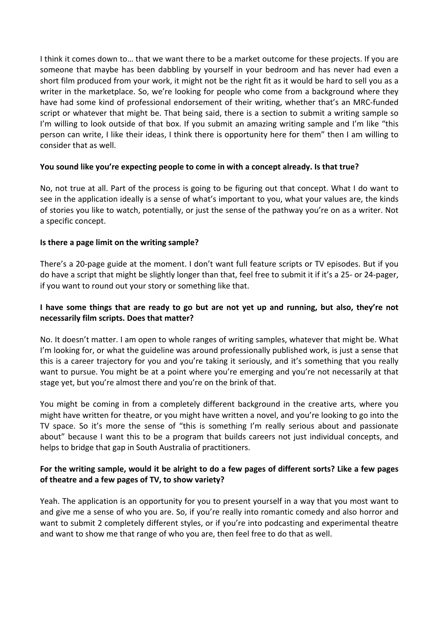I think it comes down to... that we want there to be a market outcome for these projects. If you are someone that maybe has been dabbling by yourself in your bedroom and has never had even a short film produced from your work, it might not be the right fit as it would be hard to sell you as a writer in the marketplace. So, we're looking for people who come from a background where they have had some kind of professional endorsement of their writing, whether that's an MRC-funded script or whatever that might be. That being said, there is a section to submit a writing sample so I'm willing to look outside of that box. If you submit an amazing writing sample and I'm like "this person can write, I like their ideas, I think there is opportunity here for them" then I am willing to consider that as well.

### You sound like you're expecting people to come in with a concept already. Is that true?

No, not true at all. Part of the process is going to be figuring out that concept. What I do want to see in the application ideally is a sense of what's important to you, what your values are, the kinds of stories you like to watch, potentially, or just the sense of the pathway you're on as a writer. Not a specific concept.

#### **Is there a page limit on the writing sample?**

There's a 20-page guide at the moment. I don't want full feature scripts or TV episodes. But if you do have a script that might be slightly longer than that, feel free to submit it if it's a 25- or 24-pager, if you want to round out your story or something like that.

### **I** have some things that are ready to go but are not yet up and running, but also, they're not **necessarily film scripts. Does that matter?**

No. It doesn't matter. I am open to whole ranges of writing samples, whatever that might be. What I'm looking for, or what the guideline was around professionally published work, is just a sense that this is a career trajectory for you and you're taking it seriously, and it's something that you really want to pursue. You might be at a point where you're emerging and you're not necessarily at that stage yet, but you're almost there and you're on the brink of that.

You might be coming in from a completely different background in the creative arts, where you might have written for theatre, or you might have written a novel, and you're looking to go into the TV space. So it's more the sense of "this is something I'm really serious about and passionate about" because I want this to be a program that builds careers not just individual concepts, and helps to bridge that gap in South Australia of practitioners.

### For the writing sample, would it be alright to do a few pages of different sorts? Like a few pages of theatre and a few pages of TV, to show variety?

Yeah. The application is an opportunity for you to present yourself in a way that you most want to and give me a sense of who you are. So, if you're really into romantic comedy and also horror and want to submit 2 completely different styles, or if you're into podcasting and experimental theatre and want to show me that range of who you are, then feel free to do that as well.